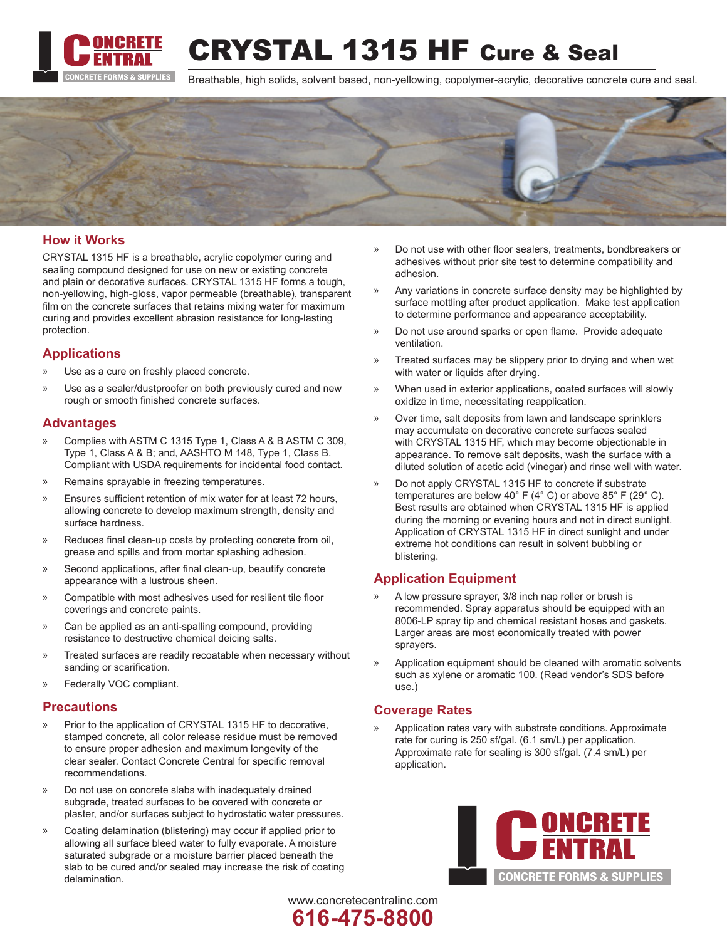

CRYSTAL 1315 HF Cure & Seal

Breathable, high solids, solvent based, non-yellowing, copolymer-acrylic, decorative concrete cure and seal.



# **How it Works**

CRYSTAL 1315 HF is a breathable, acrylic copolymer curing and sealing compound designed for use on new or existing concrete and plain or decorative surfaces. CRYSTAL 1315 HF forms a tough, non-yellowing, high-gloss, vapor permeable (breathable), transparent film on the concrete surfaces that retains mixing water for maximum curing and provides excellent abrasion resistance for long-lasting protection.

### **Applications**

- x Use as a cure on freshly placed concrete.
- Use as a sealer/dustproofer on both previously cured and new rough or smooth finished concrete surfaces.

### **Advantages**

- x Complies with ASTM C 1315 Type 1, Class A & B ASTM C 309, Type 1, Class A & B; and, AASHTO M 148, Type 1, Class B. Compliant with USDA requirements for incidental food contact.
- x Remains sprayable in freezing temperatures.
- x Ensures sufficient retention of mix water for at least 72 hours, allowing concrete to develop maximum strength, density and surface hardness.
- x Reduces final clean-up costs by protecting concrete from oil, grease and spills and from mortar splashing adhesion.
- » Second applications, after final clean-up, beautify concrete appearance with a lustrous sheen.
- x Compatible with most adhesives used for resilient tile floor coverings and concrete paints.
- x Can be applied as an anti-spalling compound, providing resistance to destructive chemical deicing salts.
- x Treated surfaces are readily recoatable when necessary without sanding or scarification.
- Federally VOC compliant.

#### **Precautions**

- Prior to the application of CRYSTAL 1315 HF to decorative, stamped concrete, all color release residue must be removed to ensure proper adhesion and maximum longevity of the clear sealer. Contact Concrete Central for specific removal recommendations.
- Do not use on concrete slabs with inadequately drained subgrade, treated surfaces to be covered with concrete or plaster, and/or surfaces subject to hydrostatic water pressures.
- x Coating delamination (blistering) may occur if applied prior to allowing all surface bleed water to fully evaporate. A moisture saturated subgrade or a moisture barrier placed beneath the slab to be cured and/or sealed may increase the risk of coating delamination.
- x Do not use with other floor sealers, treatments, bondbreakers or adhesives without prior site test to determine compatibility and adhesion.
- x Any variations in concrete surface density may be highlighted by surface mottling after product application. Make test application to determine performance and appearance acceptability.
- x Do not use around sparks or open flame. Provide adequate ventilation.
- x Treated surfaces may be slippery prior to drying and when wet with water or liquids after drying.
- x When used in exterior applications, coated surfaces will slowly oxidize in time, necessitating reapplication.
- x Over time, salt deposits from lawn and landscape sprinklers may accumulate on decorative concrete surfaces sealed with CRYSTAL 1315 HF, which may become objectionable in appearance. To remove salt deposits, wash the surface with a diluted solution of acetic acid (vinegar) and rinse well with water.
- x Do not apply CRYSTAL 1315 HF to concrete if substrate temperatures are below 40° F (4° C) or above 85° F (29° C). Best results are obtained when CRYSTAL 1315 HF is applied during the morning or evening hours and not in direct sunlight. Application of CRYSTAL 1315 HF in direct sunlight and under extreme hot conditions can result in solvent bubbling or blistering.

# **Application Equipment**

- A low pressure sprayer, 3/8 inch nap roller or brush is recommended. Spray apparatus should be equipped with an 8006-LP spray tip and chemical resistant hoses and gaskets. Larger areas are most economically treated with power sprayers.
- Application equipment should be cleaned with aromatic solvents such as xylene or aromatic 100. (Read vendor's SDS before use.)

# **Coverage Rates**

www.concretecentralinc.com

**616-475-8800**

Application rates vary with substrate conditions. Approximate rate for curing is 250 sf/gal. (6.1 sm/L) per application. Approximate rate for sealing is 300 sf/gal. (7.4 sm/L) per application.